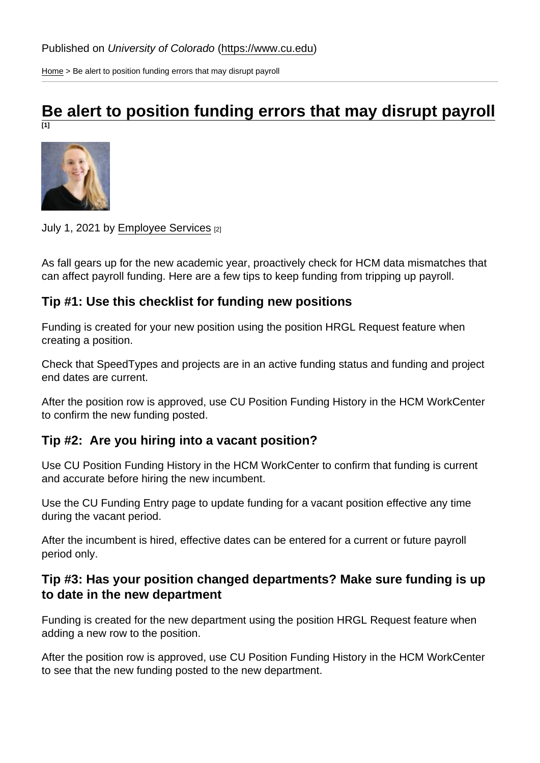[Home](https://www.cu.edu/) > Be alert to position funding errors that may disrupt payroll

## [Be alert to position funding errors that may disrupt payroll](https://www.cu.edu/blog/hcm-community/be-alert-position-funding-errors-may-disrupt-payroll) [1]

July 1, 2021 by [Employee Services](https://www.cu.edu/blog/hcm-community/author/34887) [2]

As fall gears up for the new academic year, proactively check for HCM data mismatches that can affect payroll funding. Here are a few tips to keep funding from tripping up payroll.

Tip #1: Use this checklist for funding new positions

Funding is created for your new position using the position HRGL Request feature when creating a position.

Check that SpeedTypes and projects are in an active funding status and funding and project end dates are current.

After the position row is approved, use CU Position Funding History in the HCM WorkCenter to confirm the new funding posted.

Tip #2: Are you hiring into a vacant position?

Use CU Position Funding History in the HCM WorkCenter to confirm that funding is current and accurate before hiring the new incumbent.

Use the CU Funding Entry page to update funding for a vacant position effective any time during the vacant period.

After the incumbent is hired, effective dates can be entered for a current or future payroll period only.

Tip #3: Has your position changed departments? Make sure funding is up to date in the new department

Funding is created for the new department using the position HRGL Request feature when adding a new row to the position.

After the position row is approved, use CU Position Funding History in the HCM WorkCenter to see that the new funding posted to the new department.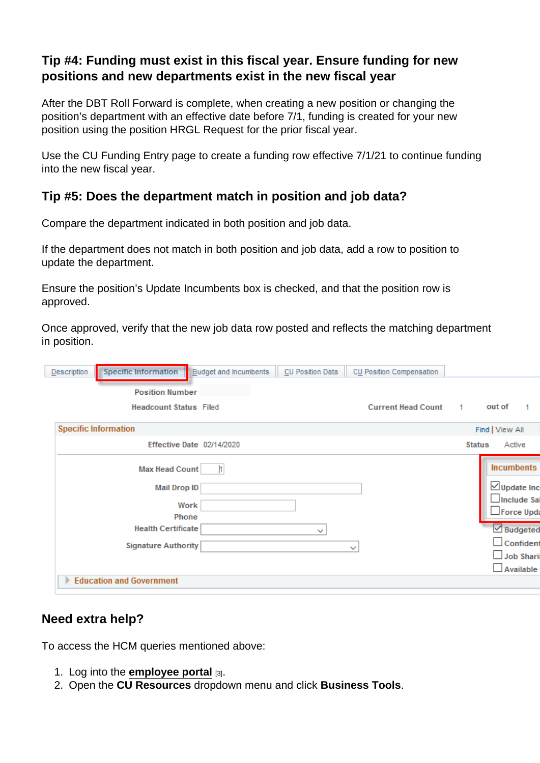Tip #4: Funding must exist in this fiscal year. Ensure funding for new positions and new departments exist in the new fiscal year

After the DBT Roll Forward is complete, when creating a new position or changing the position's department with an effective date before 7/1, funding is created for your new position using the position HRGL Request for the prior fiscal year.

Use the CU Funding Entry page to create a funding row effective 7/1/21 to continue funding into the new fiscal year.

Tip #5: Does the department match in position and job data?

Compare the department indicated in both position and job data.

If the department does not match in both position and job data, add a row to position to update the department.

Ensure the position's Update Incumbents box is checked, and that the position row is approved.

Once approved, verify that the new job data row posted and reflects the matching department in position.

## Need extra help?

To access the HCM queries mentioned above:

- 1. Log into the [employee portal](https://my.cu.edu/)  $_{[3]}$ .
- 2. Open the CU Resources dropdown menu and click Business Tools .